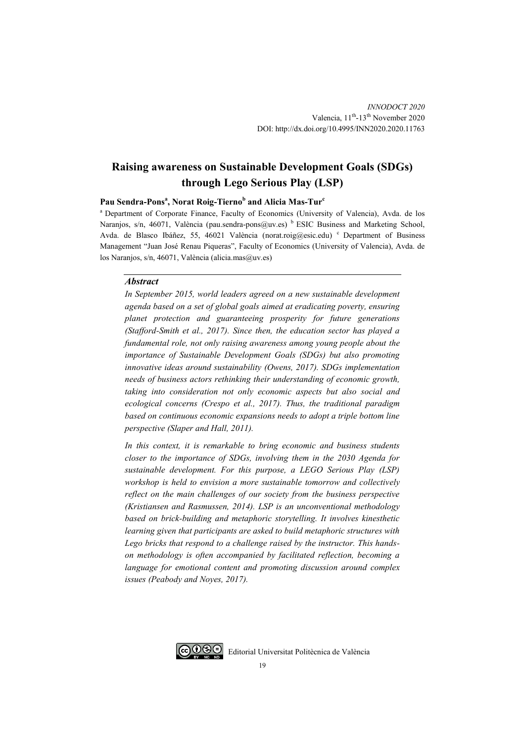# **Raising awareness on Sustainable Development Goals (SDGs) through Lego Serious Play (LSP)**

### **Pau Sendra-Pons<sup>a</sup> , Norat Roig-Tierno<sup>b</sup> and Alicia Mas-Tur<sup>c</sup>**

<sup>a</sup> Department of Corporate Finance, Faculty of Economics (University of Valencia), Avda. de los Naranjos, s/n, 46071, València (pau.sendra-pons@uv.es) <sup>b</sup> ESIC Business and Marketing School, Avda. de Blasco Ibáñez, 55, 46021 València (norat.roig@esic.edu) <sup>c</sup> Department of Business Management "Juan José Renau Piqueras", Faculty of Economics (University of Valencia), Avda. de los Naranjos, s/n, 46071, València (alicia.mas@uv.es)

#### *Abstract*

*In September 2015, world leaders agreed on a new sustainable development agenda based on a set of global goals aimed at eradicating poverty, ensuring planet protection and guaranteeing prosperity for future generations (Stafford-Smith et al., 2017). Since then, the education sector has played a fundamental role, not only raising awareness among young people about the importance of Sustainable Development Goals (SDGs) but also promoting innovative ideas around sustainability (Owens, 2017). SDGs implementation needs of business actors rethinking their understanding of economic growth, taking into consideration not only economic aspects but also social and ecological concerns (Crespo et al., 2017). Thus, the traditional paradigm based on continuous economic expansions needs to adopt a triple bottom line perspective (Slaper and Hall, 2011).* 

In this context, it is remarkable to bring economic and business students *closer to the importance of SDGs, involving them in the 2030 Agenda for sustainable development. For this purpose, a LEGO Serious Play (LSP) workshop is held to envision a more sustainable tomorrow and collectively reflect on the main challenges of our society from the business perspective (Kristiansen and Rasmussen, 2014). LSP is an unconventional methodology based on brick-building and metaphoric storytelling. It involves kinesthetic learning given that participants are asked to build metaphoric structures with Lego bricks that respond to a challenge raised by the instructor. This handson methodology is often accompanied by facilitated reflection, becoming a language for emotional content and promoting discussion around complex issues (Peabody and Noyes, 2017).* 

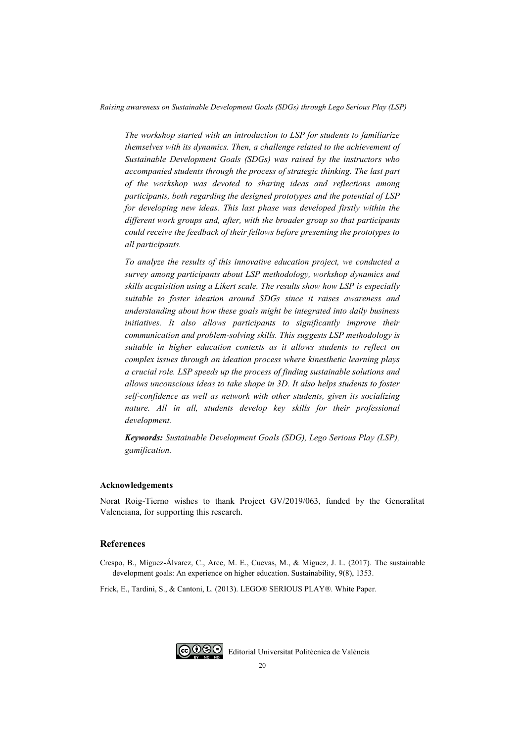*The workshop started with an introduction to LSP for students to familiarize themselves with its dynamics. Then, a challenge related to the achievement of Sustainable Development Goals (SDGs) was raised by the instructors who accompanied students through the process of strategic thinking. The last part of the workshop was devoted to sharing ideas and reflections among participants, both regarding the designed prototypes and the potential of LSP for developing new ideas. This last phase was developed firstly within the different work groups and, after, with the broader group so that participants could receive the feedback of their fellows before presenting the prototypes to all participants.* 

*To analyze the results of this innovative education project, we conducted a survey among participants about LSP methodology, workshop dynamics and skills acquisition using a Likert scale. The results show how LSP is especially suitable to foster ideation around SDGs since it raises awareness and understanding about how these goals might be integrated into daily business initiatives. It also allows participants to significantly improve their communication and problem-solving skills. This suggests LSP methodology is suitable in higher education contexts as it allows students to reflect on complex issues through an ideation process where kinesthetic learning plays a crucial role. LSP speeds up the process of finding sustainable solutions and allows unconscious ideas to take shape in 3D. It also helps students to foster self-confidence as well as network with other students, given its socializing nature. All in all, students develop key skills for their professional development.* 

*Keywords: Sustainable Development Goals (SDG), Lego Serious Play (LSP), gamification.* 

#### **Acknowledgements**

Norat Roig-Tierno wishes to thank Project GV/2019/063, funded by the Generalitat Valenciana, for supporting this research.

## **References**

Crespo, B., Míguez-Álvarez, C., Arce, M. E., Cuevas, M., & Míguez, J. L. (2017). The sustainable development goals: An experience on higher education. Sustainability, 9(8), 1353.

Frick, E., Tardini, S., & Cantoni, L. (2013). LEGO® SERIOUS PLAY®. White Paper.